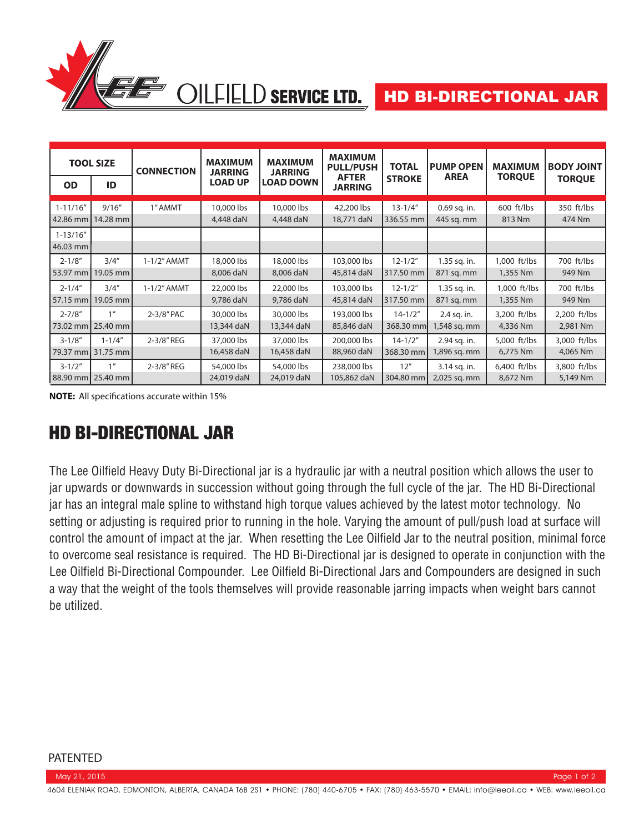

| <b>TOOL SIZE</b>            |                               | <b>CONNECTION</b> | <b>MAXIMUM</b><br><b>JARRING</b> | <b>MAXIMUM</b><br><b>JARRING</b> | <b>MAXIMUM</b><br><b>PULL/PUSH</b> | <b>TOTAL</b>              | <b>PUMP OPEN</b>             | <b>MAXIMUM</b>           | <b>BODY JOINT</b>        |
|-----------------------------|-------------------------------|-------------------|----------------------------------|----------------------------------|------------------------------------|---------------------------|------------------------------|--------------------------|--------------------------|
| <b>OD</b>                   | ID                            |                   | <b>LOAD UP</b>                   | <b>LOAD DOWN</b>                 | <b>AFTER</b><br><b>JARRING</b>     | <b>STROKE</b>             | <b>AREA</b>                  | <b>TORQUE</b>            | <b>TORQUE</b>            |
| $1 - 11/16''$               | 9/16''<br>42.86 mm   14.28 mm | 1" AMMT           | 10,000 lbs<br>4,448 daN          | 10,000 lbs<br>4,448 daN          | 42,200 lbs<br>18,771 daN           | $13 - 1/4"$<br>336.55 mm  | 0.69 sq. in.<br>445 sq. mm   | 600 ft/lbs<br>813 Nm     | 350 ft/lbs<br>474 Nm     |
| $1 - 13/16''$<br>$46.03$ mm |                               |                   |                                  |                                  |                                    |                           |                              |                          |                          |
| $2 - 1/8"$                  | 3/4''<br>53.97 mm   19.05 mm  | $1-1/2$ " AMMT    | 18,000 lbs<br>8,006 daN          | 18,000 lbs<br>8,006 daN          | 103,000 lbs<br>45,814 daN          | $12 - 1/2"$<br>317.50 mm  | 1.35 sq. in.<br>871 sq. mm   | 1,000 ft/lbs<br>1,355 Nm | 700 ft/lbs<br>949 Nm     |
| $2 - 1/4"$<br>57.15 mm      | 3/4''<br>19.05 mm             | $1-1/2$ " AMMT    | 22,000 lbs<br>9,786 daN          | 22,000 lbs<br>9,786 daN          | 103,000 lbs<br>45,814 daN          | $12 - 1/2"$<br>317.50 mm  | 1.35 sq. in.<br>871 sq. mm   | 1,000 ft/lbs<br>1,355 Nm | 700 ft/lbs<br>949 Nm     |
| $2 - 7/8"$<br>73.02 mm      | 1 <sup>''</sup><br>$25.40$ mm | 2-3/8" PAC        | 30,000 lbs<br>13,344 daN         | 30,000 lbs<br>13,344 daN         | 193,000 lbs<br>85,846 daN          | $14 - 1/2"$<br>368.30 mml | 2.4 sq. in.<br>1,548 sq. mm  | 3,200 ft/lbs<br>4,336 Nm | 2,200 ft/lbs<br>2,981 Nm |
| $3 - 1/8"$<br>79.37 mm      | $1 - 1/4"$<br>31.75 mm        | 2-3/8" REG        | 37,000 lbs<br>16,458 daN         | 37,000 lbs<br>16,458 daN         | 200,000 lbs<br>88,960 daN          | $14 - 1/2"$<br>368.30 mm  | 2.94 sq. in.<br>1,896 sq. mm | 5,000 ft/lbs<br>6,775 Nm | 3,000 ft/lbs<br>4,065 Nm |
| $3 - 1/2"$<br>88.90 mm      | 1 <sup>''</sup><br>25.40 mm   | 2-3/8" REG        | 54,000 lbs<br>24,019 daN         | 54,000 lbs<br>24,019 daN         | 238,000 lbs<br>105,862 daN         | 12"<br>304.80 mm          | 3.14 sq. in.<br>2,025 sq. mm | 6,400 ft/lbs<br>8,672 Nm | 3,800 ft/lbs<br>5,149 Nm |

**NOTE:** All specifications accurate within 15%

# HD BI-DIRECTIONAL JAR

The Lee Oilfield Heavy Duty Bi-Directional jar is a hydraulic jar with a neutral position which allows the user to jar upwards or downwards in succession without going through the full cycle of the jar. The HD Bi-Directional jar has an integral male spline to withstand high torque values achieved by the latest motor technology. No setting or adjusting is required prior to running in the hole. Varying the amount of pull/push load at surface will control the amount of impact at the jar. When resetting the Lee Oilfield Jar to the neutral position, minimal force to overcome seal resistance is required. The HD Bi-Directional jar is designed to operate in conjunction with the Lee Oilfield Bi-Directional Compounder. Lee Oilfield Bi-Directional Jars and Compounders are designed in such a way that the weight of the tools themselves will provide reasonable jarring impacts when weight bars cannot be utilized.